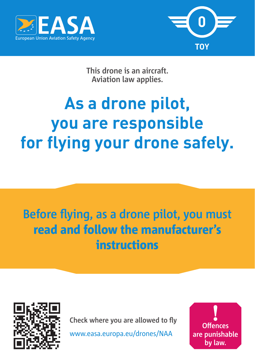



**This drone is an aircraft. Aviation law applies.**

# **As a drone pilot, you are responsible for flying your drone safely.**

## **Before flying, as a drone pilot, you must**  read and follow the manufacturer's instructions



**Check where you are allowed to fly**

www.easa.europa.eu/drones/NAA